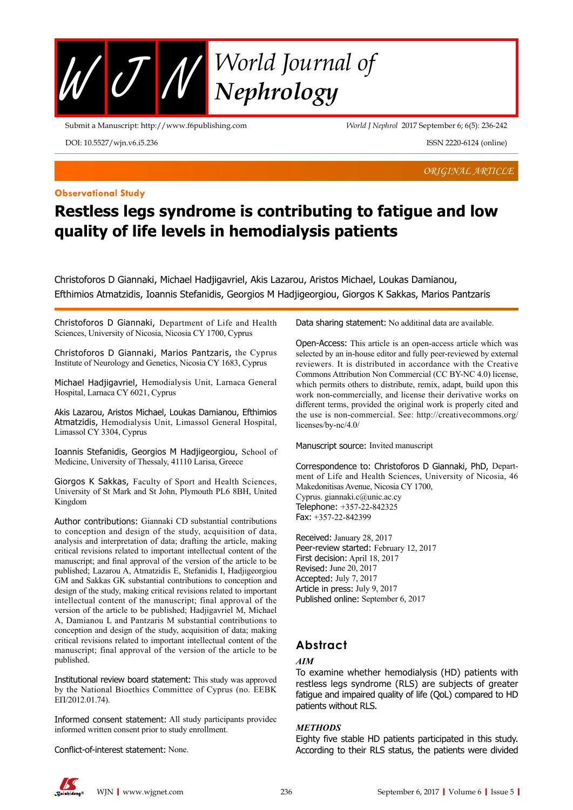

Submit a Manuscript: http://www.f6publishing.com

*World J Nephrol* 2017 September 6; 6(5): 236-242

DOI: 10.5527/wjn.v6.i5.236

**Observational Study**

*ORIGINAL ARTICLE*

ISSN 2220-6124 (online)

# **Restless legs syndrome is contributing to fatigue and low quality of life levels in hemodialysis patients**

Christoforos D Giannaki, Michael Hadjigavriel, Akis Lazarou, Aristos Michael, Loukas Damianou, Efthimios Atmatzidis, Ioannis Stefanidis, Georgios M Hadjigeorgiou, Giorgos K Sakkas, Marios Pantzaris

Christoforos D Giannaki, Department of Life and Health Sciences, University of Nicosia, Nicosia CY 1700, Cyprus

Christoforos D Giannaki, Marios Pantzaris, the Cyprus Institute of Neurology and Genetics, Nicosia CY 1683, Cyprus

Michael Hadjigavriel, Hemodialysis Unit, Larnaca General Hospital, Larnaca CY 6021, Cyprus

Akis Lazarou, Aristos Michael, Loukas Damianou, Efthimios Atmatzidis, Hemodialysis Unit, Limassol General Hospital, Limassol CY 3304, Cyprus

Ioannis Stefanidis, Georgios M Hadjigeorgiou, School of Medicine, University of Thessaly, 41110 Larisa, Greece

Giorgos K Sakkas, Faculty of Sport and Health Sciences, University of St Mark and St John, Plymouth PL6 8BH, United Kingdom

Author contributions: Giannaki CD substantial contributions to conception and design of the study, acquisition of data, analysis and interpretation of data; drafting the article, making critical revisions related to important intellectual content of the manuscript; and final approval of the version of the article to be published; Lazarou A, Atmatzidis E, Stefanidis I, Hadjigeorgiou GM and Sakkas GK substantial contributions to conception and design of the study, making critical revisions related to important intellectual content of the manuscript; final approval of the version of the article to be published; Hadjigavriel M, Michael A, Damianou L and Pantzaris M substantial contributions to conception and design of the study, acquisition of data; making critical revisions related to important intellectual content of the manuscript; final approval of the version of the article to be published.

Institutional review board statement: This study was approved by the National Bioethics Committee of Cyprus (no. EEΒΚ ΕΠ/2012.01.74).

Informed consent statement: All study participants providec informed written consent prior to study enrollment.

Conflict-of-interest statement: None.

Data sharing statement: No additinal data are available.

Open-Access: This article is an open-access article which was selected by an in-house editor and fully peer-reviewed by external reviewers. It is distributed in accordance with the Creative Commons Attribution Non Commercial (CC BY-NC 4.0) license, which permits others to distribute, remix, adapt, build upon this work non-commercially, and license their derivative works on different terms, provided the original work is properly cited and the use is non-commercial. See: http://creativecommons.org/ licenses/by-nc/4.0/

Manuscript source: Invited manuscript

Correspondence to: Christoforos D Giannaki, PhD, Department of Life and Health Sciences, University of Nicosia, 46 Makedonitisas Avenue, Nicosia CY 1700, Cyprus. giannaki.c@unic.ac.cy Telephone: +357-22-842325 Fax: +357-22-842399

Received: January 28, 2017 Peer-review started: February 12, 2017 First decision: April 18, 2017 Revised: June 20, 2017 Accepted: July 7, 2017 Article in press: July 9, 2017 Published online: September 6, 2017

### **Abstract**

#### *AIM*

To examine whether hemodialysis (HD) patients with restless legs syndrome (RLS) are subjects of greater fatigue and impaired quality of life (QoL) compared to HD patients without RLS.

#### *METHODS*

Eighty five stable HD patients participated in this study. According to their RLS status, the patients were divided

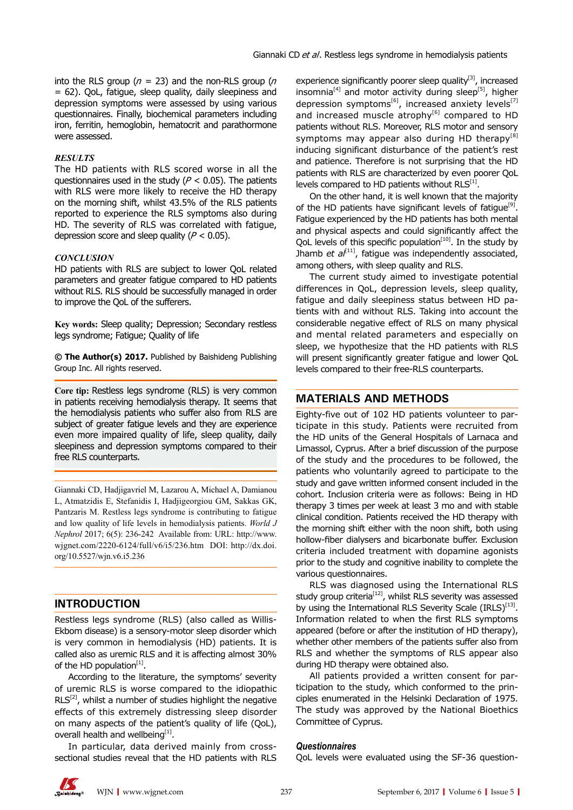into the RLS group ( $n = 23$ ) and the non-RLS group ( $n = 23$ ) = 62). QoL, fatigue, sleep quality, daily sleepiness and depression symptoms were assessed by using various questionnaires. Finally, biochemical parameters including iron, ferritin, hemoglobin, hematocrit and parathormone were assessed.

### *RESULTS*

The HD patients with RLS scored worse in all the questionnaires used in the study ( $P < 0.05$ ). The patients with RLS were more likely to receive the HD therapy on the morning shift, whilst 43.5% of the RLS patients reported to experience the RLS symptoms also during HD. The severity of RLS was correlated with fatigue, depression score and sleep quality ( $P < 0.05$ ).

### *CONCLUSION*

HD patients with RLS are subject to lower QoL related parameters and greater fatigue compared to HD patients without RLS. RLS should be successfully managed in order to improve the QoL of the sufferers.

**Key words:** Sleep quality; Depression; Secondary restless legs syndrome; Fatigue; Quality of life

**© The Author(s) 2017.** Published by Baishideng Publishing Group Inc. All rights reserved.

**Core tip:** Restless legs syndrome (RLS) is very common in patients receiving hemodialysis therapy. It seems that the hemodialysis patients who suffer also from RLS are subject of greater fatigue levels and they are experience even more impaired quality of life, sleep quality, daily sleepiness and depression symptoms compared to their free RLS counterparts.

Giannaki CD, Hadjigavriel M, Lazarou A, Michael A, Damianou L, Atmatzidis E, Stefanidis I, Hadjigeorgiou GM, Sakkas GK, Pantzaris M. Restless legs syndrome is contributing to fatigue and low quality of life levels in hemodialysis patients. *World J Nephrol* 2017; 6(5): 236-242 Available from: URL: http://www. wjgnet.com/2220-6124/full/v6/i5/236.htm DOI: http://dx.doi. org/10.5527/wjn.v6.i5.236

### **INTRODUCTION**

Restless legs syndrome (RLS) (also called as Willis-Ekbom disease) is a sensory-motor sleep disorder which is very common in hemodialysis (HD) patients. It is called also as uremic RLS and it is affecting almost 30% of the HD population $<sup>[1]</sup>$ .</sup>

According to the literature, the symptoms' severity of uremic RLS is worse compared to the idiopathic  $RLS^{[2]}$ , whilst a number of studies highlight the negative effects of this extremely distressing sleep disorder on many aspects of the patient's quality of life (QoL), overall health and wellbeing<sup>[1]</sup>.

In particular, data derived mainly from crosssectional studies reveal that the HD patients with RLS experience significantly poorer sleep quality $[3]$ , increased insomnia<sup>[4]</sup> and motor activity during sleep<sup>[5]</sup>, higher depression symptoms<sup>[6]</sup>, increased anxiety levels<sup>[7]</sup> and increased muscle atrophy<sup>[6]</sup> compared to HD patients without RLS. Moreover, RLS motor and sensory symptoms may appear also during HD therapy<sup>[8]</sup> inducing significant disturbance of the patient's rest and patience. Therefore is not surprising that the HD patients with RLS are characterized by even poorer QoL levels compared to HD patients without  $RLS^{[1]}$ .

On the other hand, it is well known that the majority of the HD patients have significant levels of fatigue<sup>[9]</sup>. Fatigue experienced by the HD patients has both mental and physical aspects and could significantly affect the QoL levels of this specific population<sup>[10]</sup>. In the study by Jhamb *et al*<sup>[11]</sup>, fatigue was independently associated, among others, with sleep quality and RLS.

The current study aimed to investigate potential differences in QoL, depression levels, sleep quality, fatigue and daily sleepiness status between HD patients with and without RLS. Taking into account the considerable negative effect of RLS on many physical and mental related parameters and especially on sleep, we hypothesize that the HD patients with RLS will present significantly greater fatigue and lower QoL levels compared to their free-RLS counterparts.

### **MATERIALS AND METHODS**

Eighty-five out of 102 HD patients volunteer to participate in this study. Patients were recruited from the HD units of the General Hospitals of Larnaca and Limassol, Cyprus. After a brief discussion of the purpose of the study and the procedures to be followed, the patients who voluntarily agreed to participate to the study and gave written informed consent included in the cohort. Inclusion criteria were as follows: Being in HD therapy 3 times per week at least 3 mo and with stable clinical condition. Patients received the HD therapy with the morning shift either with the noon shift, both using hollow-fiber dialysers and bicarbonate buffer. Exclusion criteria included treatment with dopamine agonists prior to the study and cognitive inability to complete the various questionnaires.

RLS was diagnosed using the International RLS study group criteria<sup>[12]</sup>, whilst RLS severity was assessed by using the International RLS Severity Scale  $(IRLS)^{[13]}$ . Information related to when the first RLS symptoms appeared (before or after the institution of HD therapy), whether other members of the patients suffer also from RLS and whether the symptoms of RLS appear also during HD therapy were obtained also.

All patients provided a written consent for participation to the study, which conformed to the principles enumerated in the Helsinki Declaration of 1975. The study was approved by the National Bioethics Committee of Cyprus.

### *Questionnaires*

QoL levels were evaluated using the SF-36 question-

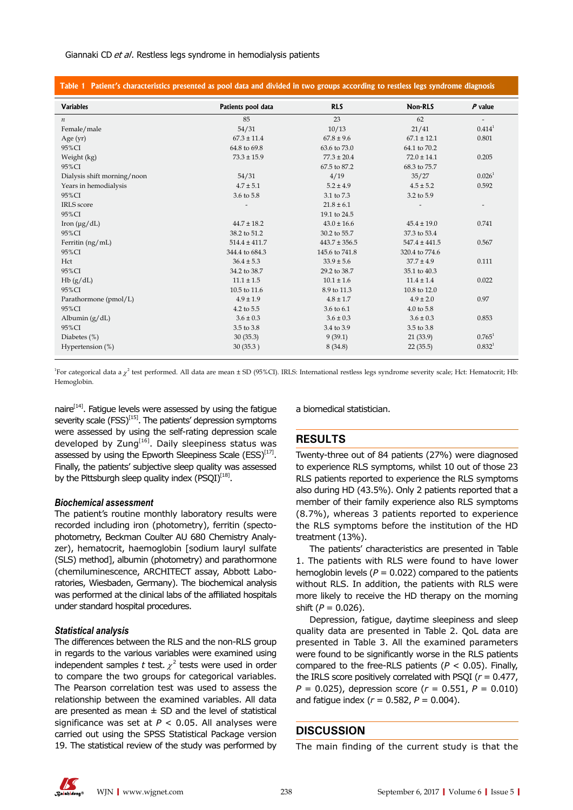#### Giannaki CD et al. Restless legs syndrome in hemodialysis patients

| Table 1 Patient's characteristics presented as pool data and divided in two groups according to restless legs syndrome diagnosis |                    |                   |                   |                          |  |
|----------------------------------------------------------------------------------------------------------------------------------|--------------------|-------------------|-------------------|--------------------------|--|
| <b>Variables</b>                                                                                                                 | Patients pool data | <b>RLS</b>        | Non-RLS           | $P$ value                |  |
| $\boldsymbol{n}$                                                                                                                 | 85                 | 23                | 62                | $\overline{\phantom{a}}$ |  |
| Female/male                                                                                                                      | 54/31              | 10/13             | 21/41             | $0.414^1$                |  |
| Age $(yr)$                                                                                                                       | $67.3 \pm 11.4$    | $67.8 \pm 9.6$    | $67.1 \pm 12.1$   | 0.801                    |  |
| 95%CI                                                                                                                            | 64.8 to 69.8       | 63.6 to 73.0      | 64.1 to 70.2      |                          |  |
| Weight (kg)                                                                                                                      | $73.3 \pm 15.9$    | $77.3 \pm 20.4$   | $72.0 \pm 14.1$   | 0.205                    |  |
| 95%CI                                                                                                                            |                    | 67.5 to 87.2      | 68.3 to 75.7      |                          |  |
| Dialysis shift morning/noon                                                                                                      | 54/31              | 4/19              | 35/27             | 0.026 <sup>1</sup>       |  |
| Years in hemodialysis                                                                                                            | $4.7 \pm 5.1$      | $5.2 \pm 4.9$     | $4.5 \pm 5.2$     | 0.592                    |  |
| 95%CI                                                                                                                            | 3.6 to 5.8         | 3.1 to 7.3        | 3.2 to 5.9        |                          |  |
| <b>IRLS</b> score                                                                                                                |                    | $21.8 \pm 6.1$    |                   | $\overline{\phantom{a}}$ |  |
| 95%CI                                                                                                                            |                    | 19.1 to 24.5      |                   |                          |  |
| Iron $(\mu g/dL)$                                                                                                                | $44.7 \pm 18.2$    | $43.0 \pm 16.6$   | $45.4 \pm 19.0$   | 0.741                    |  |
| 95%CI                                                                                                                            | 38.2 to 51.2       | 30.2 to 55.7      | 37.3 to 53.4      |                          |  |
| Ferritin (ng/mL)                                                                                                                 | $514.4 \pm 411.7$  | $443.7 \pm 356.5$ | $547.4 \pm 441.5$ | 0.567                    |  |
| 95%CI                                                                                                                            | 344.4 to 684.3     | 145.6 to 741.8    | 320.4 to 774.6    |                          |  |
| Hct                                                                                                                              | $36.4 \pm 5.3$     | $33.9 \pm 5.6$    | $37.7 \pm 4.9$    | 0.111                    |  |
| 95%CI                                                                                                                            | 34.2 to 38.7       | 29.2 to 38.7      | 35.1 to 40.3      |                          |  |
| Hb(g/dL)                                                                                                                         | $11.1 \pm 1.5$     | $10.1 \pm 1.6$    | $11.4 \pm 1.4$    | 0.022                    |  |
| 95%CI                                                                                                                            | 10.5 to 11.6       | 8.9 to 11.3       | 10.8 to 12.0      |                          |  |
| Parathormone (pmol/L)                                                                                                            | $4.9 \pm 1.9$      | $4.8 \pm 1.7$     | $4.9 \pm 2.0$     | 0.97                     |  |
| 95%CI                                                                                                                            | 4.2 to 5.5         | 3.6 to 6.1        | 4.0 to 5.8        |                          |  |
| Albumin $(g/dL)$                                                                                                                 | $3.6 \pm 0.3$      | $3.6 \pm 0.3$     | $3.6 \pm 0.3$     | 0.853                    |  |
| 95%CI                                                                                                                            | 3.5 to 3.8         | 3.4 to 3.9        | 3.5 to 3.8        |                          |  |
| Diabetes $(\%)$                                                                                                                  | 30(35.3)           | 9(39.1)           | 21(33.9)          | $0.765^1$                |  |
| Hypertension $(\%)$                                                                                                              | 30(35.3)           | 8(34.8)           | 22(35.5)          | 0.832 <sup>1</sup>       |  |

<sup>1</sup>For categorical data a  $\chi^2$  test performed. All data are mean ± SD (95%CI). IRLS: International restless legs syndrome severity scale; Hct: Hematocrit; Hb: Hemoglobin.

naire $[14]$ . Fatigue levels were assessed by using the fatigue severity scale (FSS)<sup>[15]</sup>. The patients' depression symptoms were assessed by using the self-rating depression scale developed by Zung $<sup>[16]</sup>$ . Daily sleepiness status was</sup> assessed by using the Epworth Sleepiness Scale ( $ESS$ )<sup>[17]</sup>. Finally, the patients' subjective sleep quality was assessed by the Pittsburgh sleep quality index  $(PSQI)^{[18]}$ .

#### *Biochemical assessment*

The patient's routine monthly laboratory results were recorded including iron (photometry), ferritin (spectophotometry, Beckman Coulter AU 680 Chemistry Analyzer), hematocrit, haemoglobin [sodium lauryl sulfate (SLS) method], albumin (photometry) and parathormone (chemiluminescence, ARCHITECT assay, Abbott Laboratories, Wiesbaden, Germany). The biochemical analysis was performed at the clinical labs of the affiliated hospitals under standard hospital procedures.

### *Statistical analysis*

The differences between the RLS and the non-RLS group in regards to the various variables were examined using independent samples  $t$  test.  $\chi^2$  tests were used in order to compare the two groups for categorical variables. The Pearson correlation test was used to assess the relationship between the examined variables. All data are presented as mean  $\pm$  SD and the level of statistical significance was set at  $P < 0.05$ . All analyses were carried out using the SPSS Statistical Package version 19. The statistical review of the study was performed by

a biomedical statistician.

### **RESULTS**

Twenty-three out of 84 patients (27%) were diagnosed to experience RLS symptoms, whilst 10 out of those 23 RLS patients reported to experience the RLS symptoms also during HD (43.5%). Only 2 patients reported that a member of their family experience also RLS symptoms (8.7%), whereas 3 patients reported to experience the RLS symptoms before the institution of the HD treatment (13%).

The patients' characteristics are presented in Table 1. The patients with RLS were found to have lower hemoglobin levels ( $P = 0.022$ ) compared to the patients without RLS. In addition, the patients with RLS were more likely to receive the HD therapy on the morning shift (*P* = 0.026).

Depression, fatigue, daytime sleepiness and sleep quality data are presented in Table 2. QoL data are presented in Table 3. All the examined parameters were found to be significantly worse in the RLS patients compared to the free-RLS patients (*P* < 0.05). Finally, the IRLS score positively correlated with PSQI (*r* = 0.477, *P* = 0.025), depression score (*r* = 0.551, *P* = 0.010) and fatigue index  $(r = 0.582, P = 0.004)$ .

### **DISCUSSION**

The main finding of the current study is that the

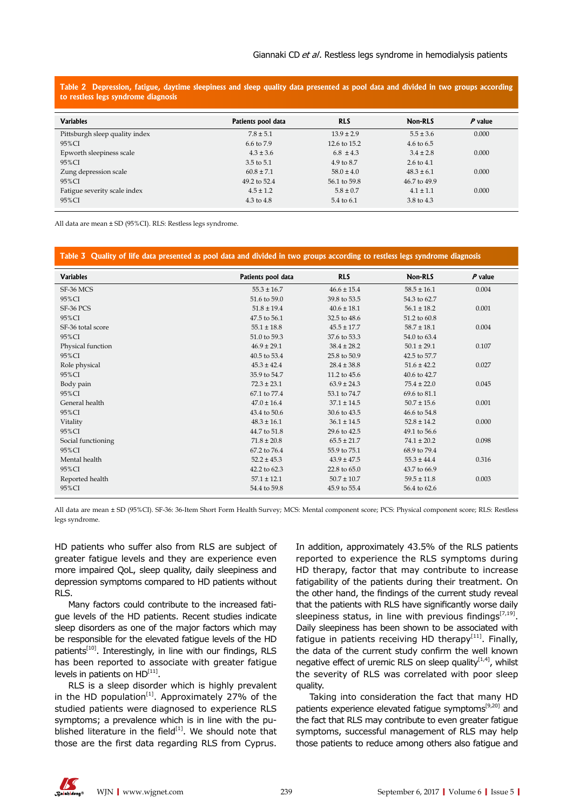**Table 2 Depression, fatigue, daytime sleepiness and sleep quality data presented as pool data and divided in two groups according to restless legs syndrome diagnosis**

| <b>Variables</b>               | Patients pool data | <b>RLS</b>     | Non-RLS               | P value |
|--------------------------------|--------------------|----------------|-----------------------|---------|
| Pittsburgh sleep quality index | $7.8 \pm 5.1$      | $13.9 \pm 2.9$ | $5.5 \pm 3.6$         | 0.000   |
| 95%CI                          | 6.6 to 7.9         | 12.6 to 15.2   | $4.6 \text{ to } 6.5$ |         |
| Epworth sleepiness scale       | $4.3 \pm 3.6$      | $6.8 \pm 4.3$  | $3.4 \pm 2.8$         | 0.000   |
| 95%CI                          | 3.5 to 5.1         | 4.9 to 8.7     | $2.6 \text{ to } 4.1$ |         |
| Zung depression scale          | $60.8 \pm 7.1$     | $58.0 \pm 4.0$ | $48.3 \pm 6.1$        | 0.000   |
| 95%CI                          | 49.2 to 52.4       | 56.1 to 59.8   | 46.7 to 49.9          |         |
| Fatigue severity scale index   | $4.5 \pm 1.2$      | $5.8 \pm 0.7$  | $4.1 \pm 1.1$         | 0.000   |
| 95%CI                          | 4.3 to 4.8         | 5.4 to 6.1     | 3.8 to 4.3            |         |

All data are mean ± SD (95%CI). RLS: Restless legs syndrome.

#### **Table 3 Quality of life data presented as pool data and divided in two groups according to restless legs syndrome diagnosis**

| <b>Variables</b>   | Patients pool data | <b>RLS</b>      | Non-RLS         | $P$ value |
|--------------------|--------------------|-----------------|-----------------|-----------|
| SF-36 MCS          | $55.3 \pm 16.7$    | $46.6 \pm 15.4$ | $58.5 \pm 16.1$ | 0.004     |
| 95%CI              | 51.6 to 59.0       | 39.8 to 53.5    | 54.3 to 62.7    |           |
| <b>SF-36 PCS</b>   | $51.8 \pm 19.4$    | $40.6 \pm 18.1$ | $56.1 \pm 18.2$ | 0.001     |
| 95%CI              | 47.5 to 56.1       | 32.5 to 48.6    | 51.2 to 60.8    |           |
| SF-36 total score  | $55.1 \pm 18.8$    | $45.5 \pm 17.7$ | $58.7 \pm 18.1$ | 0.004     |
| 95%CI              | 51.0 to 59.3       | 37.6 to 53.3    | 54.0 to 63.4    |           |
| Physical function  | $46.9 \pm 29.1$    | $38.4 \pm 28.2$ | $50.1 \pm 29.1$ | 0.107     |
| 95%CI              | 40.5 to 53.4       | 25.8 to 50.9    | 42.5 to 57.7    |           |
| Role physical      | $45.3 \pm 42.4$    | $28.4 \pm 38.8$ | $51.6 \pm 42.2$ | 0.027     |
| 95%CI              | 35.9 to 54.7       | 11.2 to 45.6    | 40.6 to 42.7    |           |
| Body pain          | $72.3 \pm 23.1$    | $63.9 \pm 24.3$ | $75.4 \pm 22.0$ | 0.045     |
| 95%CI              | 67.1 to 77.4       | 53.1 to 74.7    | 69.6 to 81.1    |           |
| General health     | $47.0 \pm 16.4$    | $37.1 \pm 14.5$ | $50.7 \pm 15.6$ | 0.001     |
| 95%CI              | 43.4 to 50.6       | 30.6 to 43.5    | 46.6 to 54.8    |           |
| Vitality           | $48.3 \pm 16.1$    | $36.1 \pm 14.5$ | $52.8 \pm 14.2$ | 0.000     |
| 95%CI              | 44.7 to 51.8       | 29.6 to 42.5    | 49.1 to 56.6    |           |
| Social functioning | $71.8 \pm 20.8$    | $65.5 \pm 21.7$ | $74.1 \pm 20.2$ | 0.098     |
| 95%CI              | 67.2 to 76.4       | 55.9 to 75.1    | 68.9 to 79.4    |           |
| Mental health      | $52.2 \pm 45.3$    | $43.9 \pm 47.5$ | $55.3 \pm 44.4$ | 0.316     |
| 95%CI              | 42.2 to 62.3       | 22.8 to 65.0    | 43.7 to 66.9    |           |
| Reported health    | $57.1 \pm 12.1$    | $50.7 \pm 10.7$ | $59.5 \pm 11.8$ | 0.003     |
| 95%CI              | 54.4 to 59.8       | 45.9 to 55.4    | 56.4 to 62.6    |           |

All data are mean ± SD (95%CI). SF-36: 36-Item Short Form Health Survey; MCS: Mental component score; PCS: Physical component score; RLS: Restless legs syndrome.

HD patients who suffer also from RLS are subject of greater fatigue levels and they are experience even more impaired QoL, sleep quality, daily sleepiness and depression symptoms compared to HD patients without RLS.

Many factors could contribute to the increased fatigue levels of the HD patients. Recent studies indicate sleep disorders as one of the major factors which may be responsible for the elevated fatigue levels of the HD patients<sup>[10]</sup>. Interestingly, in line with our findings, RLS has been reported to associate with greater fatigue levels in patients on  $HD<sup>[11]</sup>$ .

RLS is a sleep disorder which is highly prevalent in the HD population<sup>[1]</sup>. Approximately 27% of the studied patients were diagnosed to experience RLS symptoms; a prevalence which is in line with the published literature in the field $[1]$ . We should note that those are the first data regarding RLS from Cyprus.

In addition, approximately 43.5% of the RLS patients reported to experience the RLS symptoms during HD therapy, factor that may contribute to increase fatigability of the patients during their treatment. On the other hand, the findings of the current study reveal that the patients with RLS have significantly worse daily sleepiness status, in line with previous findings<sup>[7,19]</sup>. Daily sleepiness has been shown to be associated with fatigue in patients receiving HD therapy<sup>[11]</sup>. Finally, the data of the current study confirm the well known negative effect of uremic RLS on sleep quality $[1,4]$ , whilst the severity of RLS was correlated with poor sleep quality.

Taking into consideration the fact that many HD patients experience elevated fatigue symptoms<sup>[9,20]</sup> and the fact that RLS may contribute to even greater fatigue symptoms, successful management of RLS may help those patients to reduce among others also fatigue and

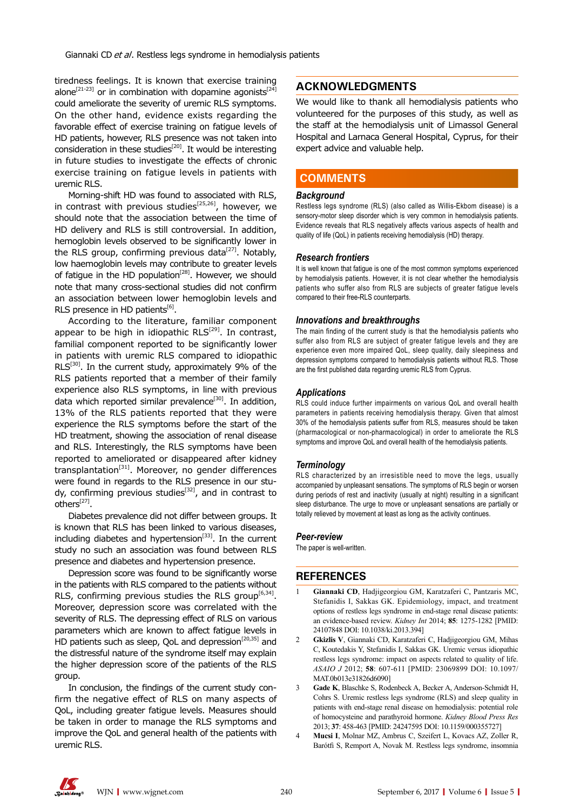tiredness feelings. It is known that exercise training alone<sup>[21-23]</sup> or in combination with dopamine agonists<sup>[24]</sup> could ameliorate the severity of uremic RLS symptoms. On the other hand, evidence exists regarding the favorable effect of exercise training on fatigue levels of HD patients, however, RLS presence was not taken into consideration in these studies<sup>[20]</sup>. It would be interesting in future studies to investigate the effects of chronic exercise training on fatigue levels in patients with uremic RLS.

Morning-shift HD was found to associated with RLS, in contrast with previous studies<sup>[25,26]</sup>, however, we should note that the association between the time of HD delivery and RLS is still controversial. In addition, hemoglobin levels observed to be significantly lower in the RLS group, confirming previous data<sup>[27]</sup>. Notably, low haemoglobin levels may contribute to greater levels of fatigue in the HD population $[28]$ . However, we should note that many cross-sectional studies did not confirm an association between lower hemoglobin levels and RLS presence in HD patients $^{[6]}$ .

According to the literature, familiar component appear to be high in idiopathic RLS<sup>[29]</sup>. In contrast, familial component reported to be significantly lower in patients with uremic RLS compared to idiopathic  $RLS^{[30]}$ . In the current study, approximately 9% of the RLS patients reported that a member of their family experience also RLS symptoms, in line with previous data which reported similar prevalence<sup>[30]</sup>. In addition, 13% of the RLS patients reported that they were experience the RLS symptoms before the start of the HD treatment, showing the association of renal disease and RLS. Interestingly, the RLS symptoms have been reported to ameliorated or disappeared after kidney transplantation $[31]$ . Moreover, no gender differences were found in regards to the RLS presence in our study, confirming previous studies<sup>[32]</sup>, and in contrast to others[27].

Diabetes prevalence did not differ between groups. It is known that RLS has been linked to various diseases, including diabetes and hypertension $[33]$ . In the current study no such an association was found between RLS presence and diabetes and hypertension presence.

Depression score was found to be significantly worse in the patients with RLS compared to the patients without RLS, confirming previous studies the RLS group<sup>[6,34]</sup>. Moreover, depression score was correlated with the severity of RLS. The depressing effect of RLS on various parameters which are known to affect fatigue levels in HD patients such as sleep, QoL and depression<sup>[20,35]</sup> and the distressful nature of the syndrome itself may explain the higher depression score of the patients of the RLS group.

In conclusion, the findings of the current study confirm the negative effect of RLS on many aspects of QoL, including greater fatigue levels. Measures should be taken in order to manage the RLS symptoms and improve the QoL and general health of the patients with uremic RLS.

### **ACKNOWLEDGMENTS**

We would like to thank all hemodialysis patients who volunteered for the purposes of this study, as well as the staff at the hemodialysis unit of Limassol General Hospital and Larnaca General Hospital, Cyprus, for their expert advice and valuable help.

### **COMMENTS COMMENTS**

#### *Background*

Restless legs syndrome (RLS) (also called as Willis-Ekbom disease) is a sensory-motor sleep disorder which is very common in hemodialysis patients. Evidence reveals that RLS negatively affects various aspects of health and quality of life (QoL) in patients receiving hemodialysis (HD) therapy.

#### *Research frontiers*

It is well known that fatigue is one of the most common symptoms experienced by hemodialysis patients. However, it is not clear whether the hemodialysis patients who suffer also from RLS are subjects of greater fatigue levels compared to their free-RLS counterparts.

#### *Innovations and breakthroughs*

The main finding of the current study is that the hemodialysis patients who suffer also from RLS are subject of greater fatigue levels and they are experience even more impaired QoL, sleep quality, daily sleepiness and depression symptoms compared to hemodialysis patients without RLS. Those are the first published data regarding uremic RLS from Cyprus.

#### *Applications*

RLS could induce further impairments on various QoL and overall health parameters in patients receiving hemodialysis therapy. Given that almost 30% of the hemodialysis patients suffer from RLS, measures should be taken (pharmacological or non-pharmacological) in order to ameliorate the RLS symptoms and improve QoL and overall health of the hemodialysis patients.

#### *Terminology*

RLS characterized by an irresistible need to move the legs, usually accompanied by unpleasant sensations. The symptoms of RLS begin or worsen during periods of rest and inactivity (usually at night) resulting in a significant sleep disturbance. The urge to move or unpleasant sensations are partially or totally relieved by movement at least as long as the activity continues.

#### *Peer-review*

The paper is well-written.

### **REFERENCES**

- 1 **Giannaki CD**, Hadjigeorgiou GM, Karatzaferi C, Pantzaris MC, Stefanidis I, Sakkas GK. Epidemiology, impact, and treatment options of restless legs syndrome in end-stage renal disease patients: an evidence-based review. *Kidney Int* 2014; **85**: 1275-1282 [PMID: 24107848 DOI: 10.1038/ki.2013.394]
- 2 **Gkizlis V**, Giannaki CD, Karatzaferi C, Hadjigeorgiou GM, Mihas C, Koutedakis Y, Stefanidis I, Sakkas GK. Uremic versus idiopathic restless legs syndrome: impact on aspects related to quality of life. *ASAIO J* 2012; **58**: 607-611 [PMID: 23069899 DOI: 10.1097/ MAT.0b013e31826d6090]
- 3 **Gade K**, Blaschke S, Rodenbeck A, Becker A, Anderson-Schmidt H, Cohrs S. Uremic restless legs syndrome (RLS) and sleep quality in patients with end-stage renal disease on hemodialysis: potential role of homocysteine and parathyroid hormone. *Kidney Blood Press Res* 2013; **37**: 458-463 [PMID: 24247595 DOI: 10.1159/000355727]
- 4 **Mucsi I**, Molnar MZ, Ambrus C, Szeifert L, Kovacs AZ, Zoller R, Barótfi S, Remport A, Novak M. Restless legs syndrome, insomnia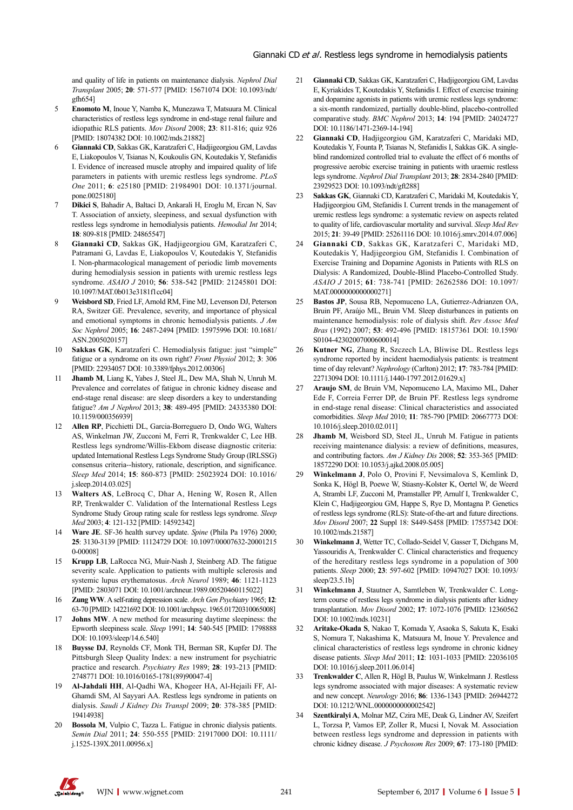and quality of life in patients on maintenance dialysis. *Nephrol Dial Transplant* 2005; **20**: 571-577 [PMID: 15671074 DOI: 10.1093/ndt/ gfh654]

- 5 **Enomoto M**, Inoue Y, Namba K, Munezawa T, Matsuura M. Clinical characteristics of restless legs syndrome in end-stage renal failure and idiopathic RLS patients. *Mov Disord* 2008; **23**: 811-816; quiz 926 [PMID: 18074382 DOI: 10.1002/mds.21882]
- 6 **Giannaki CD**, Sakkas GK, Karatzaferi C, Hadjigeorgiou GM, Lavdas E, Liakopoulos V, Tsianas N, Koukoulis GN, Koutedakis Y, Stefanidis I. Evidence of increased muscle atrophy and impaired quality of life parameters in patients with uremic restless legs syndrome. *PLoS One* 2011; **6**: e25180 [PMID: 21984901 DOI: 10.1371/journal. pone.0025180]
- 7 **Dikici S**, Bahadir A, Baltaci D, Ankarali H, Eroglu M, Ercan N, Sav T. Association of anxiety, sleepiness, and sexual dysfunction with restless legs syndrome in hemodialysis patients. *Hemodial Int* 2014; **18**: 809-818 [PMID: 24865547]
- 8 **Giannaki CD**, Sakkas GK, Hadjigeorgiou GM, Karatzaferi C, Patramani G, Lavdas E, Liakopoulos V, Koutedakis Y, Stefanidis I. Non-pharmacological management of periodic limb movements during hemodialysis session in patients with uremic restless legs syndrome. *ASAIO J* 2010; **56**: 538-542 [PMID: 21245801 DOI: 10.1097/MAT.0b013e3181f1cc04]
- 9 **Weisbord SD**, Fried LF, Arnold RM, Fine MJ, Levenson DJ, Peterson RA, Switzer GE. Prevalence, severity, and importance of physical and emotional symptoms in chronic hemodialysis patients. *J Am Soc Nephrol* 2005; **16**: 2487-2494 [PMID: 15975996 DOI: 10.1681/ ASN.2005020157]
- 10 **Sakkas GK**, Karatzaferi C. Hemodialysis fatigue: just "simple" fatigue or a syndrome on its own right? *Front Physiol* 2012; **3**: 306 [PMID: 22934057 DOI: 10.3389/fphys.2012.00306]
- 11 **Jhamb M**, Liang K, Yabes J, Steel JL, Dew MA, Shah N, Unruh M. Prevalence and correlates of fatigue in chronic kidney disease and end-stage renal disease: are sleep disorders a key to understanding fatigue? *Am J Nephrol* 2013; **38**: 489-495 [PMID: 24335380 DOI: 10.1159/000356939]
- 12 **Allen RP**, Picchietti DL, Garcia-Borreguero D, Ondo WG, Walters AS, Winkelman JW, Zucconi M, Ferri R, Trenkwalder C, Lee HB. Restless legs syndrome/Willis-Ekbom disease diagnostic criteria: updated International Restless Legs Syndrome Study Group (IRLSSG) consensus criteria--history, rationale, description, and significance. *Sleep Med* 2014; **15**: 860-873 [PMID: 25023924 DOI: 10.1016/ j.sleep.2014.03.025]
- 13 **Walters AS**, LeBrocq C, Dhar A, Hening W, Rosen R, Allen RP, Trenkwalder C. Validation of the International Restless Legs Syndrome Study Group rating scale for restless legs syndrome. *Sleep Med* 2003; **4**: 121-132 [PMID: 14592342]
- 14 **Ware JE**. SF-36 health survey update. *Spine* (Phila Pa 1976) 2000; **25**: 3130-3139 [PMID: 11124729 DOI: 10.1097/00007632-20001215 0-00008]
- 15 **Krupp LB**, LaRocca NG, Muir-Nash J, Steinberg AD. The fatigue severity scale. Application to patients with multiple sclerosis and systemic lupus erythematosus. *Arch Neurol* 1989; **46**: 1121-1123 [PMID: 2803071 DOI: 10.1001/archneur.1989.00520460115022]
- 16 **Zung WW**. A self-rating depression scale. *Arch Gen Psychiatry* 1965; **12**: 63-70 [PMID: 14221692 DOI: 10.1001/archpsyc. 1965.01720310065008]
- 17 **Johns MW**. A new method for measuring daytime sleepiness: the Epworth sleepiness scale. *Sleep* 1991; **14**: 540-545 [PMID: 1798888 DOI: 10.1093/sleep/14.6.540]
- 18 **Buysse DJ**, Reynolds CF, Monk TH, Berman SR, Kupfer DJ. The Pittsburgh Sleep Quality Index: a new instrument for psychiatric practice and research. *Psychiatry Res* 1989; **28**: 193-213 [PMID: 2748771 DOI: 10.1016/0165-1781(89)90047-4]
- 19 **Al-Jahdali HH**, Al-Qadhi WA, Khogeer HA, Al-Hejaili FF, Al-Ghamdi SM, Al Sayyari AA. Restless legs syndrome in patients on dialysis. *Saudi J Kidney Dis Transpl* 2009; **20**: 378-385 [PMID: 19414938]
- 20 **Bossola M**, Vulpio C, Tazza L. Fatigue in chronic dialysis patients. *Semin Dial* 2011; **24**: 550-555 [PMID: 21917000 DOI: 10.1111/ j.1525-139X.2011.00956.x]
- 21 **Giannaki CD**, Sakkas GK, Karatzaferi C, Hadjigeorgiou GM, Lavdas E, Kyriakides T, Koutedakis Y, Stefanidis I. Effect of exercise training and dopamine agonists in patients with uremic restless legs syndrome: a six-month randomized, partially double-blind, placebo-controlled comparative study. *BMC Nephrol* 2013; **14**: 194 [PMID: 24024727 DOI: 10.1186/1471-2369-14-194]
- 22 **Giannaki CD**, Hadjigeorgiou GM, Karatzaferi C, Maridaki MD, Koutedakis Y, Founta P, Tsianas N, Stefanidis I, Sakkas GK. A singleblind randomized controlled trial to evaluate the effect of 6 months of progressive aerobic exercise training in patients with uraemic restless legs syndrome. *Nephrol Dial Transplant* 2013; **28**: 2834-2840 [PMID: 23929523 DOI: 10.1093/ndt/gft288]
- 23 **Sakkas GK**, Giannaki CD, Karatzaferi C, Maridaki M, Koutedakis Y, Hadjigeorgiou GM, Stefanidis I. Current trends in the management of uremic restless legs syndrome: a systematic review on aspects related to quality of life, cardiovascular mortality and survival. *Sleep Med Rev* 2015; **21**: 39-49 [PMID: 25261116 DOI: 10.1016/j.smrv.2014.07.006]
- 24 **Giannaki CD**, Sakkas GK, Karatzaferi C, Maridaki MD, Koutedakis Y, Hadjigeorgiou GM, Stefanidis I. Combination of Exercise Training and Dopamine Agonists in Patients with RLS on Dialysis: A Randomized, Double-Blind Placebo-Controlled Study. *ASAIO J* 2015; **61**: 738-741 [PMID: 26262586 DOI: 10.1097/ MAT.0000000000000271]
- 25 **Bastos JP**, Sousa RB, Nepomuceno LA, Gutierrez-Adrianzen OA, Bruin PF, Araújo ML, Bruin VM. Sleep disturbances in patients on maintenance hemodialysis: role of dialysis shift. *Rev Assoc Med Bras* (1992) 2007; **53**: 492-496 [PMID: 18157361 DOI: 10.1590/ S0104-42302007000600014]
- 26 **Kutner NG**, Zhang R, Szczech LA, Bliwise DL. Restless legs syndrome reported by incident haemodialysis patients: is treatment time of day relevant? *Nephrology* (Carlton) 2012; **17**: 783-784 [PMID: 22713094 DOI: 10.1111/j.1440-1797.2012.01629.x]
- 27 **Araujo SM**, de Bruin VM, Nepomuceno LA, Maximo ML, Daher Ede F, Correia Ferrer DP, de Bruin PF. Restless legs syndrome in end-stage renal disease: Clinical characteristics and associated comorbidities. *Sleep Med* 2010; **11**: 785-790 [PMID: 20667773 DOI: 10.1016/j.sleep.2010.02.011]
- Jhamb M, Weisbord SD, Steel JL, Unruh M. Fatigue in patients receiving maintenance dialysis: a review of definitions, measures, and contributing factors. *Am J Kidney Dis* 2008; **52**: 353-365 [PMID: 18572290 DOI: 10.1053/j.ajkd.2008.05.005]
- 29 **Winkelmann J**, Polo O, Provini F, Nevsimalova S, Kemlink D, Sonka K, Högl B, Poewe W, Stiasny-Kolster K, Oertel W, de Weerd A, Strambi LF, Zucconi M, Pramstaller PP, Arnulf I, Trenkwalder C, Klein C, Hadjigeorgiou GM, Happe S, Rye D, Montagna P. Genetics of restless legs syndrome (RLS): State-of-the-art and future directions. *Mov Disord* 2007; **22** Suppl 18: S449-S458 [PMID: 17557342 DOI: 10.1002/mds.21587]
- 30 **Winkelmann J**, Wetter TC, Collado-Seidel V, Gasser T, Dichgans M, Yassouridis A, Trenkwalder C. Clinical characteristics and frequency of the hereditary restless legs syndrome in a population of 300 patients. *Sleep* 2000; **23**: 597-602 [PMID: 10947027 DOI: 10.1093/ sleep/23.5.1b]
- 31 **Winkelmann J**, Stautner A, Samtleben W, Trenkwalder C. Longterm course of restless legs syndrome in dialysis patients after kidney transplantation. *Mov Disord* 2002; **17**: 1072-1076 [PMID: 12360562 DOI: 10.1002/mds.10231]
- 32 **Aritake-Okada S**, Nakao T, Komada Y, Asaoka S, Sakuta K, Esaki S, Nomura T, Nakashima K, Matsuura M, Inoue Y. Prevalence and clinical characteristics of restless legs syndrome in chronic kidney disease patients. *Sleep Med* 2011; **12**: 1031-1033 [PMID: 22036105 DOI: 10.1016/j.sleep.2011.06.014]
- 33 **Trenkwalder C**, Allen R, Högl B, Paulus W, Winkelmann J. Restless legs syndrome associated with major diseases: A systematic review and new concept. *Neurology* 2016; **86**: 1336-1343 [PMID: 26944272 DOI: 10.1212/WNL.0000000000002542]
- 34 **Szentkiralyi A**, Molnar MZ, Czira ME, Deak G, Lindner AV, Szeifert L, Torzsa P, Vamos EP, Zoller R, Mucsi I, Novak M. Association between restless legs syndrome and depression in patients with chronic kidney disease. *J Psychosom Res* 2009; **67**: 173-180 [PMID: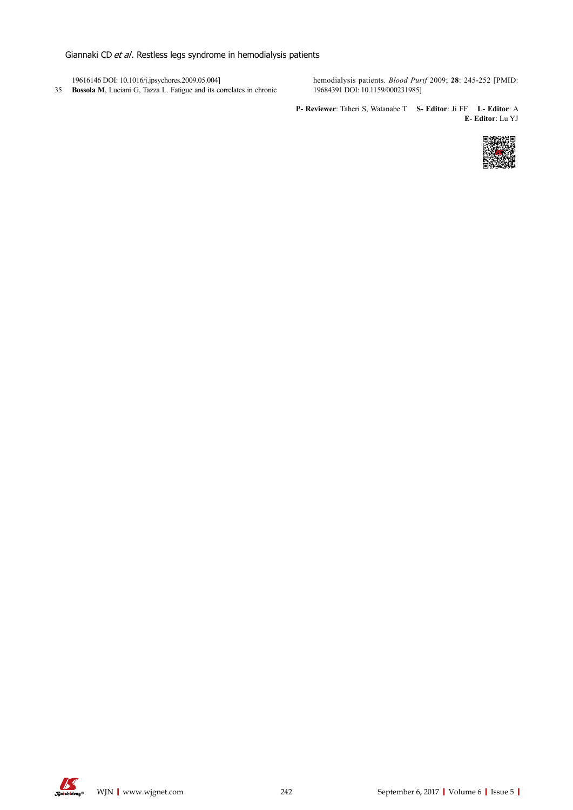Giannaki CD et al. Restless legs syndrome in hemodialysis patients

19616146 DOI: 10.1016/j.jpsychores.2009.05.004] 35 **Bossola M**, Luciani G, Tazza L. Fatigue and its correlates in chronic hemodialysis patients. *Blood Purif* 2009; **28**: 245-252 [PMID: 19684391 DOI: 10.1159/000231985]

**P- Reviewer**: Taheri S, Watanabe T **S- Editor**: Ji FF **L- Editor**: A **E- Editor**: Lu YJ